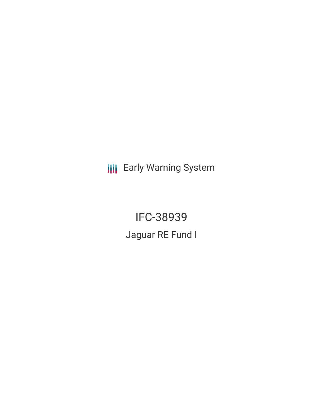**III** Early Warning System

IFC-38939 Jaguar RE Fund I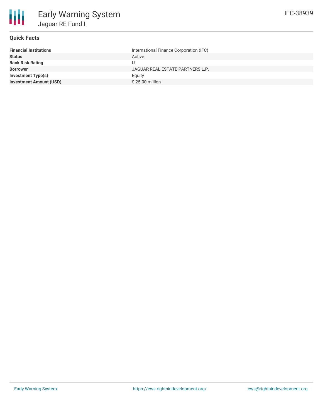

# **Quick Facts**

| <b>Financial Institutions</b>  | International Finance Corporation (IFC) |
|--------------------------------|-----------------------------------------|
| <b>Status</b>                  | Active                                  |
| <b>Bank Risk Rating</b>        | U                                       |
| <b>Borrower</b>                | JAGUAR REAL ESTATE PARTNERS L.P.        |
| <b>Investment Type(s)</b>      | Eauity                                  |
| <b>Investment Amount (USD)</b> | $$25.00$ million                        |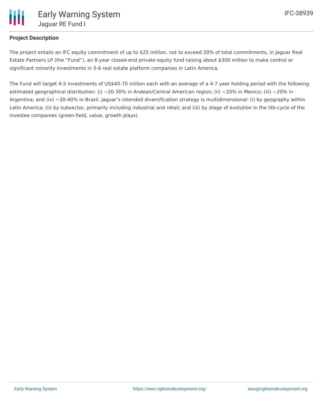

## **Project Description**

The project entails an IFC equity commitment of up to \$25 million, not to exceed 20% of total commitments, in Jaguar Real Estate Partners LP (the "Fund"), an 8-year closed-end private equity fund raising about \$300 million to make control or significant minority investments in 5-6 real estate platform companies in Latin America.

The Fund will target 4-5 investments of US\$40-70 million each with an average of a 4-7 year holding period with the following estimated geographical distribution: (i) ~20-30% in Andean/Central American region; (ii) ~20% in Mexico; (iii) ~20% in Argentina; and (iv) ~30-40% in Brazil. Jaguar's intended diversification strategy is multidimensional: (i) by geography within Latin America; (ii) by subsector, primarily including industrial and retail; and (iii) by stage of evolution in the life-cycle of the investee companies (green-field, value, growth plays).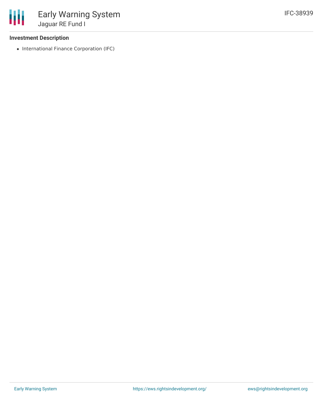### **Investment Description**

• International Finance Corporation (IFC)